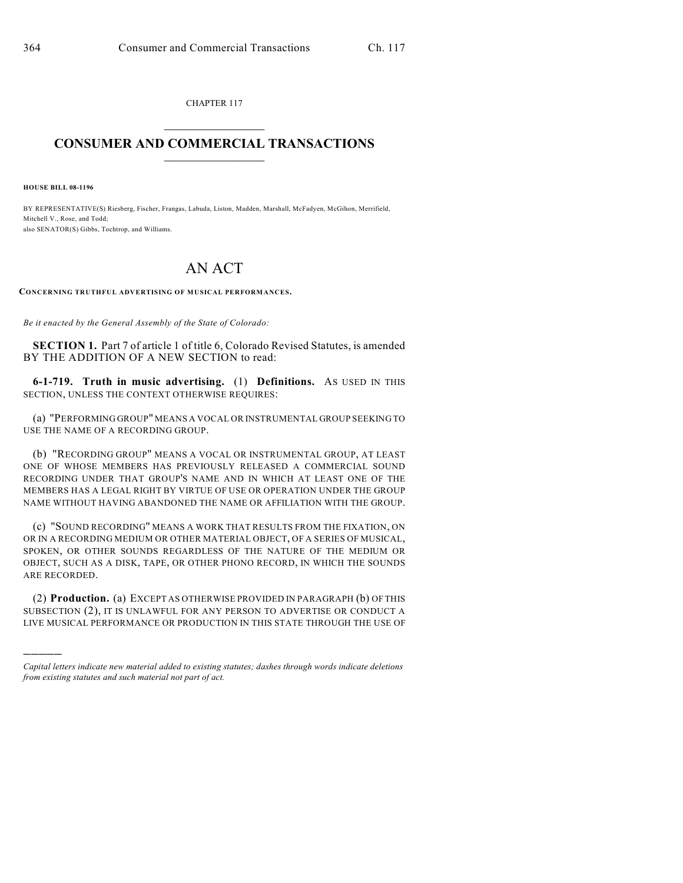CHAPTER 117  $\mathcal{L}_\text{max}$  . The set of the set of the set of the set of the set of the set of the set of the set of the set of the set of the set of the set of the set of the set of the set of the set of the set of the set of the set

## **CONSUMER AND COMMERCIAL TRANSACTIONS**  $\frac{1}{2}$  ,  $\frac{1}{2}$  ,  $\frac{1}{2}$  ,  $\frac{1}{2}$  ,  $\frac{1}{2}$  ,  $\frac{1}{2}$

**HOUSE BILL 08-1196**

)))))

BY REPRESENTATIVE(S) Riesberg, Fischer, Frangas, Labuda, Liston, Madden, Marshall, McFadyen, McGihon, Merrifield, Mitchell V., Rose, and Todd; also SENATOR(S) Gibbs, Tochtrop, and Williams.

## AN ACT

**CONCERNING TRUTHFUL ADVERTISING OF MUSICAL PERFORMANCES.**

*Be it enacted by the General Assembly of the State of Colorado:*

**SECTION 1.** Part 7 of article 1 of title 6, Colorado Revised Statutes, is amended BY THE ADDITION OF A NEW SECTION to read:

**6-1-719. Truth in music advertising.** (1) **Definitions.** AS USED IN THIS SECTION, UNLESS THE CONTEXT OTHERWISE REQUIRES:

(a) "PERFORMING GROUP" MEANS A VOCAL OR INSTRUMENTAL GROUP SEEKING TO USE THE NAME OF A RECORDING GROUP.

(b) "RECORDING GROUP" MEANS A VOCAL OR INSTRUMENTAL GROUP, AT LEAST ONE OF WHOSE MEMBERS HAS PREVIOUSLY RELEASED A COMMERCIAL SOUND RECORDING UNDER THAT GROUP'S NAME AND IN WHICH AT LEAST ONE OF THE MEMBERS HAS A LEGAL RIGHT BY VIRTUE OF USE OR OPERATION UNDER THE GROUP NAME WITHOUT HAVING ABANDONED THE NAME OR AFFILIATION WITH THE GROUP.

(c) "SOUND RECORDING" MEANS A WORK THAT RESULTS FROM THE FIXATION, ON OR IN A RECORDING MEDIUM OR OTHER MATERIAL OBJECT, OF A SERIES OF MUSICAL, SPOKEN, OR OTHER SOUNDS REGARDLESS OF THE NATURE OF THE MEDIUM OR OBJECT, SUCH AS A DISK, TAPE, OR OTHER PHONO RECORD, IN WHICH THE SOUNDS ARE RECORDED.

(2) **Production.** (a) EXCEPT AS OTHERWISE PROVIDED IN PARAGRAPH (b) OF THIS SUBSECTION (2), IT IS UNLAWFUL FOR ANY PERSON TO ADVERTISE OR CONDUCT A LIVE MUSICAL PERFORMANCE OR PRODUCTION IN THIS STATE THROUGH THE USE OF

*Capital letters indicate new material added to existing statutes; dashes through words indicate deletions from existing statutes and such material not part of act.*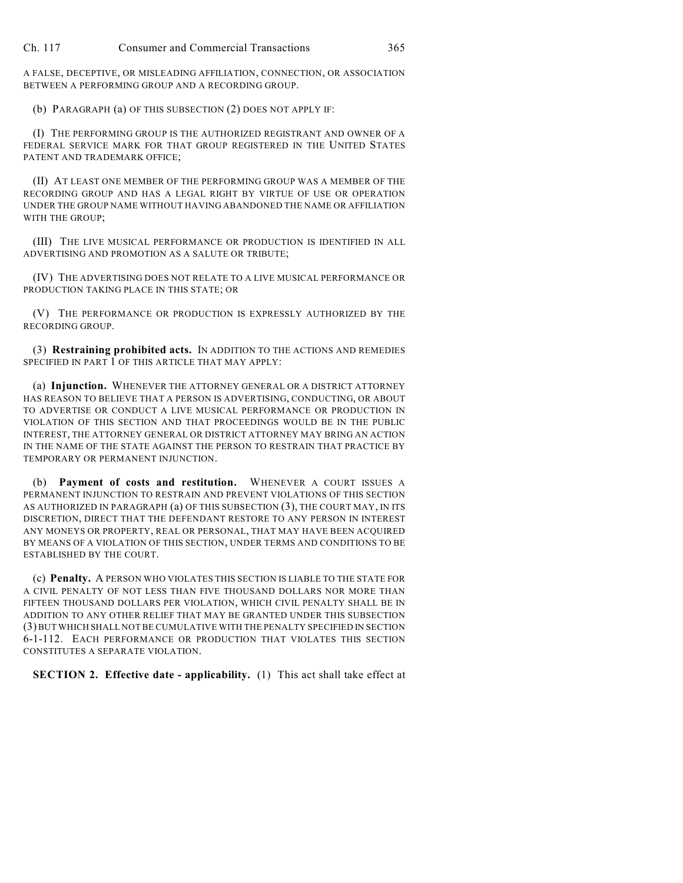A FALSE, DECEPTIVE, OR MISLEADING AFFILIATION, CONNECTION, OR ASSOCIATION BETWEEN A PERFORMING GROUP AND A RECORDING GROUP.

(b) PARAGRAPH (a) OF THIS SUBSECTION (2) DOES NOT APPLY IF:

(I) THE PERFORMING GROUP IS THE AUTHORIZED REGISTRANT AND OWNER OF A FEDERAL SERVICE MARK FOR THAT GROUP REGISTERED IN THE UNITED STATES PATENT AND TRADEMARK OFFICE;

(II) AT LEAST ONE MEMBER OF THE PERFORMING GROUP WAS A MEMBER OF THE RECORDING GROUP AND HAS A LEGAL RIGHT BY VIRTUE OF USE OR OPERATION UNDER THE GROUP NAME WITHOUT HAVING ABANDONED THE NAME OR AFFILIATION WITH THE GROUP;

(III) THE LIVE MUSICAL PERFORMANCE OR PRODUCTION IS IDENTIFIED IN ALL ADVERTISING AND PROMOTION AS A SALUTE OR TRIBUTE;

(IV) THE ADVERTISING DOES NOT RELATE TO A LIVE MUSICAL PERFORMANCE OR PRODUCTION TAKING PLACE IN THIS STATE; OR

(V) THE PERFORMANCE OR PRODUCTION IS EXPRESSLY AUTHORIZED BY THE RECORDING GROUP.

(3) **Restraining prohibited acts.** IN ADDITION TO THE ACTIONS AND REMEDIES SPECIFIED IN PART 1 OF THIS ARTICLE THAT MAY APPLY:

(a) **Injunction.** WHENEVER THE ATTORNEY GENERAL OR A DISTRICT ATTORNEY HAS REASON TO BELIEVE THAT A PERSON IS ADVERTISING, CONDUCTING, OR ABOUT TO ADVERTISE OR CONDUCT A LIVE MUSICAL PERFORMANCE OR PRODUCTION IN VIOLATION OF THIS SECTION AND THAT PROCEEDINGS WOULD BE IN THE PUBLIC INTEREST, THE ATTORNEY GENERAL OR DISTRICT ATTORNEY MAY BRING AN ACTION IN THE NAME OF THE STATE AGAINST THE PERSON TO RESTRAIN THAT PRACTICE BY TEMPORARY OR PERMANENT INJUNCTION.

(b) **Payment of costs and restitution.** WHENEVER A COURT ISSUES A PERMANENT INJUNCTION TO RESTRAIN AND PREVENT VIOLATIONS OF THIS SECTION AS AUTHORIZED IN PARAGRAPH (a) OF THIS SUBSECTION (3), THE COURT MAY, IN ITS DISCRETION, DIRECT THAT THE DEFENDANT RESTORE TO ANY PERSON IN INTEREST ANY MONEYS OR PROPERTY, REAL OR PERSONAL, THAT MAY HAVE BEEN ACQUIRED BY MEANS OF A VIOLATION OF THIS SECTION, UNDER TERMS AND CONDITIONS TO BE ESTABLISHED BY THE COURT.

(c) **Penalty.** A PERSON WHO VIOLATES THIS SECTION IS LIABLE TO THE STATE FOR A CIVIL PENALTY OF NOT LESS THAN FIVE THOUSAND DOLLARS NOR MORE THAN FIFTEEN THOUSAND DOLLARS PER VIOLATION, WHICH CIVIL PENALTY SHALL BE IN ADDITION TO ANY OTHER RELIEF THAT MAY BE GRANTED UNDER THIS SUBSECTION (3) BUT WHICH SHALL NOT BE CUMULATIVE WITH THE PENALTY SPECIFIED IN SECTION 6-1-112. EACH PERFORMANCE OR PRODUCTION THAT VIOLATES THIS SECTION CONSTITUTES A SEPARATE VIOLATION.

**SECTION 2. Effective date - applicability.** (1) This act shall take effect at